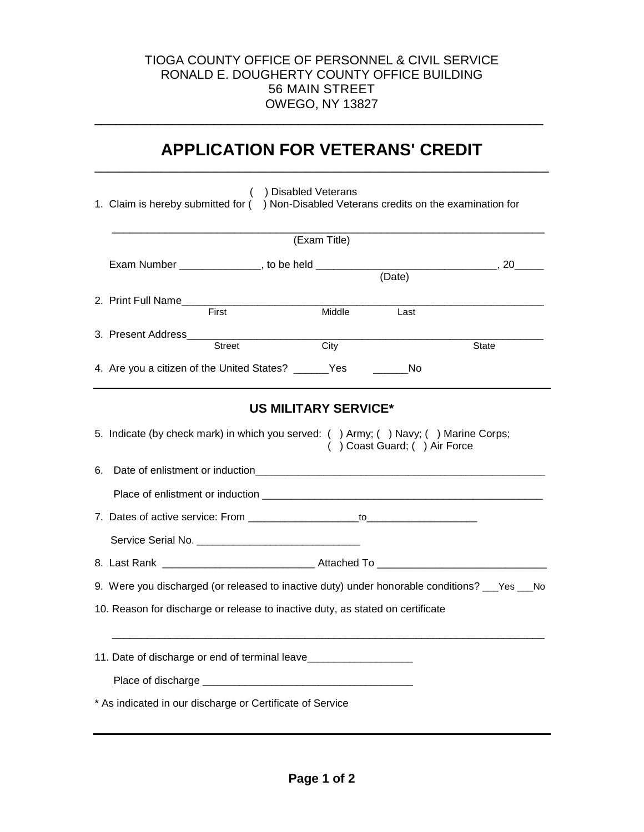## TIOGA COUNTY OFFICE OF PERSONNEL & CIVIL SERVICE RONALD E. DOUGHERTY COUNTY OFFICE BUILDING 56 MAIN STREET OWEGO, NY 13827

## **APPLICATION FOR VETERANS' CREDIT \_\_\_\_\_\_\_\_\_\_\_\_\_\_\_\_\_\_\_\_\_\_\_\_\_\_\_\_\_\_\_\_\_\_\_\_\_\_\_\_\_\_\_\_\_\_\_\_\_\_\_\_\_\_\_\_\_\_\_\_\_\_\_\_\_\_\_\_\_\_\_\_**

\_\_\_\_\_\_\_\_\_\_\_\_\_\_\_\_\_\_\_\_\_\_\_\_\_\_\_\_\_\_\_\_\_\_\_\_\_\_\_\_\_\_\_\_\_\_\_\_\_\_\_\_\_\_\_\_\_\_\_\_\_\_\_\_

|    | ( ) Disabled Veterans<br>1. Claim is hereby submitted for () Non-Disabled Veterans credits on the examination for                                                              |
|----|--------------------------------------------------------------------------------------------------------------------------------------------------------------------------------|
|    | (Exam Title)                                                                                                                                                                   |
|    | Exam Number _________________, to be held ___________<br>$(Date)$ , 20                                                                                                         |
|    | 2. Print Full Name<br>First<br>Middle<br>Last                                                                                                                                  |
|    | 3. Present Address<br><b>Street</b><br>City<br>State                                                                                                                           |
|    | 4. Are you a citizen of the United States? _______Yes<br>_______No                                                                                                             |
| 6. | <b>US MILITARY SERVICE*</b><br>5. Indicate (by check mark) in which you served: () Army; () Navy; () Marine Corps;<br>() Coast Guard; () Air Force                             |
|    | Service Serial No. <b>Example 20</b> Service Serial No.                                                                                                                        |
|    |                                                                                                                                                                                |
|    | 9. Were you discharged (or released to inactive duty) under honorable conditions? __Yes __No<br>10. Reason for discharge or release to inactive duty, as stated on certificate |
|    | 11. Date of discharge or end of terminal leave__________________________________<br>* As indicated in our discharge or Certificate of Service                                  |